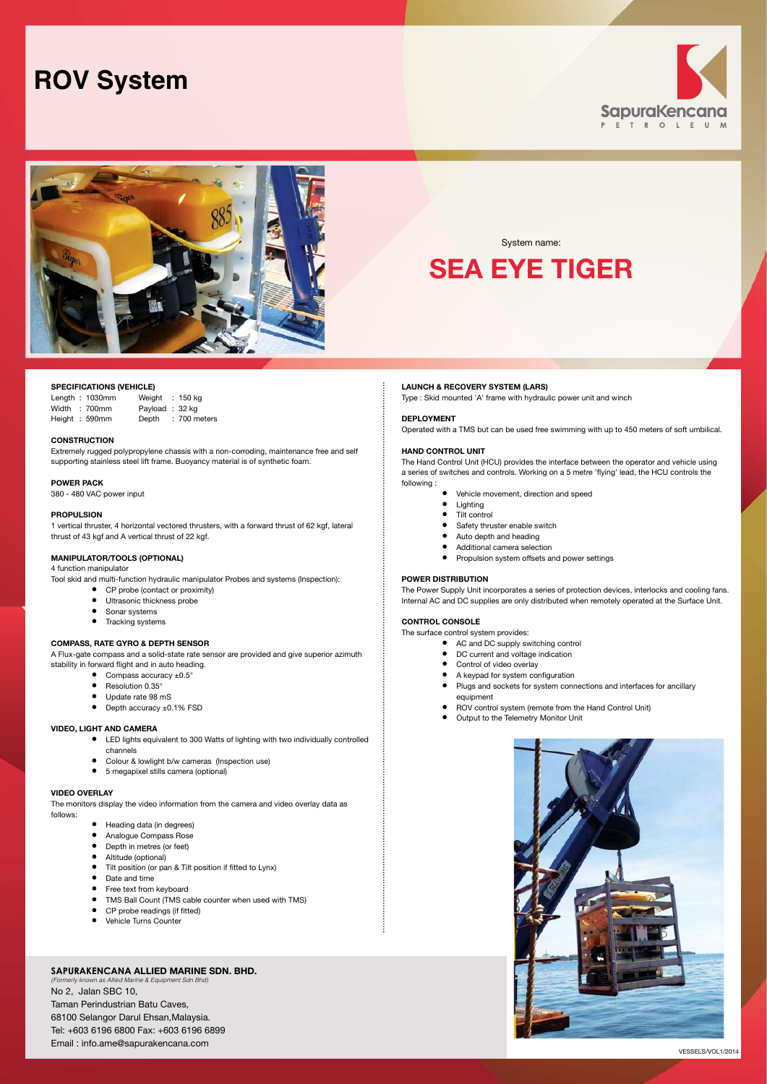# **ROV System**





## **SPECIFICATIONS (VEHICLE)**

Length : 1030mm Weight : 150 kg Width : 700mm Payload : 32 kg<br>Height : 590mm Depth : 700 m Depth : 700 meters

**CONSTRUCTION** 

Extremely rugged polypropylene chassis with a non-corroding, maintenance free and self supporting stainless steel lift frame. Buoyancy material is of synthetic foam.

**POWER PACK** 380 - 480 VAC power input

## **PROPULSION**

1 vertical thruster, 4 horizontal vectored thrusters, with a forward thrust of 62 kgf, lateral thrust of 43 kgf and A vertical thrust of 22 kgf.

## **MANIPULATOR/TOOLS (OPTIONAL)**

4 function manipulator

Tool skid and multi-function hydraulic manipulator Probes and systems (Inspection):

- CP probe (contact or proximity)<br>• Ultrasonic thickness probe
- Ultrasonic thickness probe
- $\bullet$  Sonar systems
- Tracking systems

# **COMPASS, RATE GYRO & DEPTH SENSOR**

A Flux-gate compass and a solid-state rate sensor are provided and give superior azimuth stability in forward flight and in auto heading.

- $\bullet$  Compass accuracy  $\pm 0.5^\circ$ • Resolution 0.35°
- Update rate 98 mS
- Depth accuracy ±0.1% FSD

#### **VIDEO, LIGHT AND CAMERA**

- • LED lights equivalent to 300 Watts of lighting with two individually controlled channels
- Colour & lowlight b/w cameras (Inspection use)
- • 5 megapixel stills camera (optional)

#### **VIDEO OVERLAY**

The monitors display the video information from the camera and video overlay data as follows:

- • Heading data (in degrees)
	- Analogue Compass Rose
	- Depth in metres (or feet)
	- • Altitude (optional)
	- Tilt position (or pan & Tilt position if fitted to Lynx)
	- Date and time
	- Free text from keyboard
	- TMS Ball Count (TMS cable counter when used with TMS)
	- CP probe readings (if fitted) • Vehicle Turns Counter

## **SapuraKencana Allied Marine Sdn. Bhd.**

*(Formerly known as Allied Marine & Equipment Sdn Bhd)* No 2, Jalan SBC 10, Taman Perindustrian Batu Caves, 68100 Selangor Darul Ehsan,Malaysia. Tel: +603 6196 6800 Fax: +603 6196 6899 Email : info.ame@sapurakencana.com

## **LAUNCH & RECOVERY SYSTEM (LARS)**

Type : Skid mounted 'A' frame with hydraulic power unit and winch

System name: **Sea Eye Tiger**

### **DEPLOYMENT**

Operated with a TMS but can be used free swimming with up to 450 meters of soft umbilical.

#### **HAND CONTROL UNIT**

The Hand Control Unit (HCU) provides the interface between the operator and vehicle using a series of switches and controls. Working on a 5 metre 'flying' lead, the HCU controls the following :

- Vehicle movement, direction and speed<br>• Lighting
	- **Lighting**
	- Tilt control
	- Safety thruster enable switch
	- Auto depth and heading
	- • Additional camera selection
	- Propulsion system offsets and power settings

## **POWER DISTRIBUTION**

The Power Supply Unit incorporates a series of protection devices, interlocks and cooling fans. Internal AC and DC supplies are only distributed when remotely operated at the Surface Unit.

## **control console**

The surface control system provides:

- AC and DC supply switching control
- DC current and voltage indication
- • Control of video overlay
- A keypad for system configuration
- • Plugs and sockets for system connections and interfaces for ancillary equipment
- • ROV control system (remote from the Hand Control Unit)
- Output to the Telemetry Monitor Unit